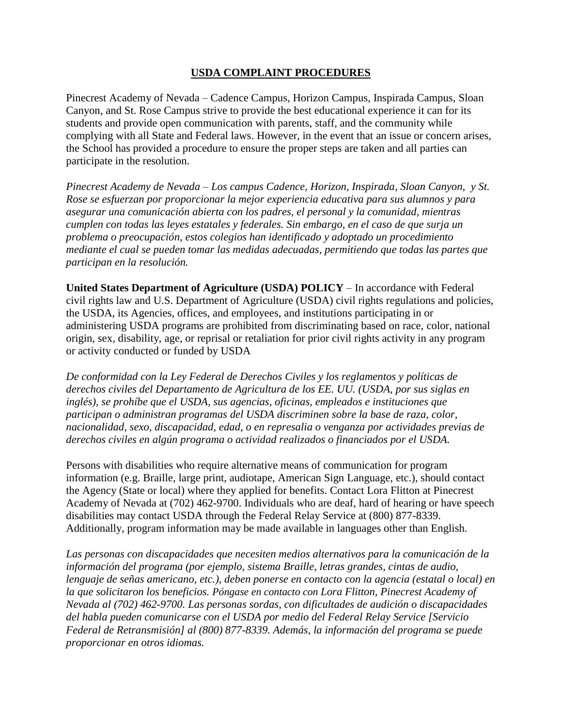## **USDA COMPLAINT PROCEDURES**

Pinecrest Academy of Nevada – Cadence Campus, Horizon Campus, Inspirada Campus, Sloan Canyon, and St. Rose Campus strive to provide the best educational experience it can for its students and provide open communication with parents, staff, and the community while complying with all State and Federal laws. However, in the event that an issue or concern arises, the School has provided a procedure to ensure the proper steps are taken and all parties can participate in the resolution.

*Pinecrest Academy de Nevada – Los campus Cadence, Horizon, Inspirada, Sloan Canyon, y St. Rose se esfuerzan por proporcionar la mejor experiencia educativa para sus alumnos y para asegurar una comunicación abierta con los padres, el personal y la comunidad, mientras cumplen con todas las leyes estatales y federales. Sin embargo, en el caso de que surja un problema o preocupación, estos colegios han identificado y adoptado un procedimiento mediante el cual se pueden tomar las medidas adecuadas, permitiendo que todas las partes que participan en la resolución.*

**United States Department of Agriculture (USDA) POLICY** – In accordance with Federal civil rights law and U.S. Department of Agriculture (USDA) civil rights regulations and policies, the USDA, its Agencies, offices, and employees, and institutions participating in or administering USDA programs are prohibited from discriminating based on race, color, national origin, sex, disability, age, or reprisal or retaliation for prior civil rights activity in any program or activity conducted or funded by USDA

*De conformidad con la Ley Federal de Derechos Civiles y los reglamentos y políticas de derechos civiles del Departamento de Agricultura de los EE. UU. (USDA, por sus siglas en inglés), se prohíbe que el USDA, sus agencias, oficinas, empleados e instituciones que participan o administran programas del USDA discriminen sobre la base de raza, color, nacionalidad, sexo, discapacidad, edad, o en represalia o venganza por actividades previas de derechos civiles en algún programa o actividad realizados o financiados por el USDA.*

Persons with disabilities who require alternative means of communication for program information (e.g. Braille, large print, audiotape, American Sign Language, etc.), should contact the Agency (State or local) where they applied for benefits. Contact Lora Flitton at Pinecrest Academy of Nevada at (702) 462-9700. Individuals who are deaf, hard of hearing or have speech disabilities may contact USDA through the Federal Relay Service at (800) 877-8339. Additionally, program information may be made available in languages other than English.

*Las personas con discapacidades que necesiten medios alternativos para la comunicación de la información del programa (por ejemplo, sistema Braille, letras grandes, cintas de audio, lenguaje de señas americano, etc.), deben ponerse en contacto con la agencia (estatal o local) en la que solicitaron los beneficios. Póngase en contacto con Lora Flitton, Pinecrest Academy of Nevada al (702) 462-9700. Las personas sordas, con dificultades de audición o discapacidades del habla pueden comunicarse con el USDA por medio del Federal Relay Service [Servicio Federal de Retransmisión] al (800) 877-8339. Además, la información del programa se puede proporcionar en otros idiomas.*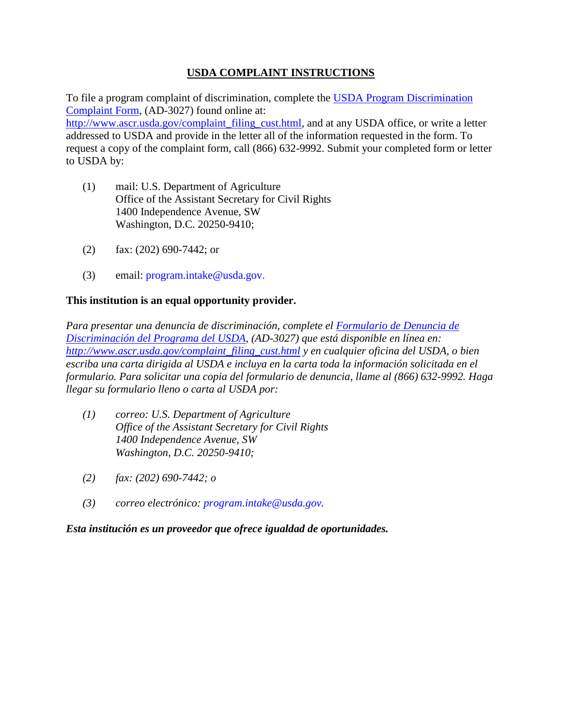# **USDA COMPLAINT INSTRUCTIONS**

To file a program complaint of discrimination, complete the [USDA Program Discrimination](http://www.ocio.usda.gov/sites/default/files/docs/2012/Complain_combined_6_8_12.pdf)  [Complaint Form,](http://www.ocio.usda.gov/sites/default/files/docs/2012/Complain_combined_6_8_12.pdf) (AD-3027) found online at:

[http://www.ascr.usda.gov/complaint\\_filing\\_cust.html,](http://www.ascr.usda.gov/complaint_filing_cust.html) and at any USDA office, or write a letter addressed to USDA and provide in the letter all of the information requested in the form. To request a copy of the complaint form, call (866) 632-9992. Submit your completed form or letter to USDA by:

- (1) mail: U.S. Department of Agriculture Office of the Assistant Secretary for Civil Rights 1400 Independence Avenue, SW Washington, D.C. 20250-9410;
- (2) fax: (202) 690-7442; or
- (3) email: program.intake@usda.gov.

## **This institution is an equal opportunity provider.**

*Para presentar una denuncia de discriminación, complete el [Formulario de Denuncia de](http://www.ocio.usda.gov/sites/default/files/docs/2012/Complain_combined_6_8_12.pdf)  [Discriminación del Programa del USDA,](http://www.ocio.usda.gov/sites/default/files/docs/2012/Complain_combined_6_8_12.pdf) (AD-3027) que está disponible en línea en: [http://www.ascr.usda.gov/complaint\\_filing\\_cust.html](http://www.ascr.usda.gov/complaint_filing_cust.html) y en cualquier oficina del USDA, o bien escriba una carta dirigida al USDA e incluya en la carta toda la información solicitada en el formulario. Para solicitar una copia del formulario de denuncia, llame al (866) 632-9992. Haga llegar su formulario lleno o carta al USDA por:*

- *(1) correo: U.S. Department of Agriculture Office of the Assistant Secretary for Civil Rights 1400 Independence Avenue, SW Washington, D.C. 20250-9410;*
- *(2) fax: (202) 690-7442; o*
- *(3) correo electrónico: program.intake@usda.gov.*

*Esta institución es un proveedor que ofrece igualdad de oportunidades.*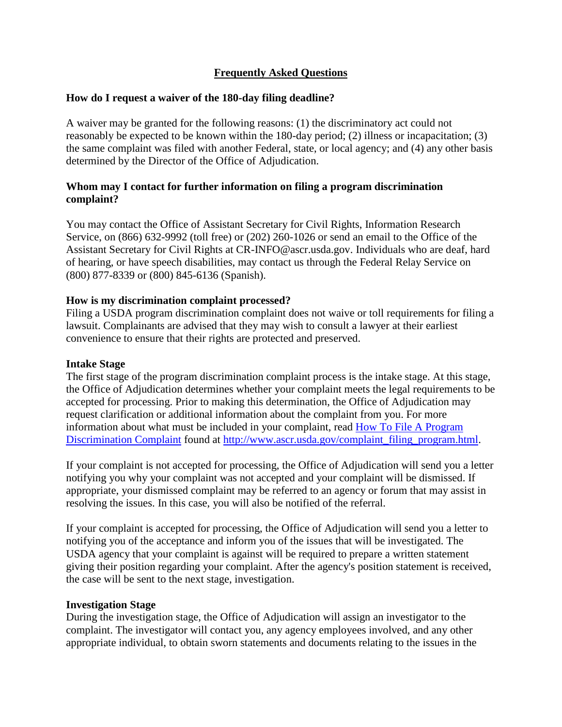# **Frequently Asked Questions**

### **How do I request a waiver of the 180-day filing deadline?**

A waiver may be granted for the following reasons: (1) the discriminatory act could not reasonably be expected to be known within the 180-day period; (2) illness or incapacitation; (3) the same complaint was filed with another Federal, state, or local agency; and (4) any other basis determined by the Director of the Office of Adjudication.

## **Whom may I contact for further information on filing a program discrimination complaint?**

You may contact the Office of Assistant Secretary for Civil Rights, Information Research Service, on (866) 632-9992 (toll free) or (202) 260-1026 or send an email to the Office of the Assistant Secretary for Civil Rights at CR-INFO@ascr.usda.gov. Individuals who are deaf, hard of hearing, or have speech disabilities, may contact us through the Federal Relay Service on (800) 877-8339 or (800) 845-6136 (Spanish).

## **How is my discrimination complaint processed?**

Filing a USDA program discrimination complaint does not waive or toll requirements for filing a lawsuit. Complainants are advised that they may wish to consult a lawyer at their earliest convenience to ensure that their rights are protected and preserved.

#### **Intake Stage**

The first stage of the program discrimination complaint process is the intake stage. At this stage, the Office of Adjudication determines whether your complaint meets the legal requirements to be accepted for processing. Prior to making this determination, the Office of Adjudication may request clarification or additional information about the complaint from you. For more information about what must be included in your complaint, read [How To File A Program](http://www.ascr.usda.gov/complaint_filing_program.html)  [Discrimination Complaint](http://www.ascr.usda.gov/complaint_filing_program.html) found at [http://www.ascr.usda.gov/complaint\\_filing\\_program.html.](http://www.ascr.usda.gov/complaint_filing_program.html)

If your complaint is not accepted for processing, the Office of Adjudication will send you a letter notifying you why your complaint was not accepted and your complaint will be dismissed. If appropriate, your dismissed complaint may be referred to an agency or forum that may assist in resolving the issues. In this case, you will also be notified of the referral.

If your complaint is accepted for processing, the Office of Adjudication will send you a letter to notifying you of the acceptance and inform you of the issues that will be investigated. The USDA agency that your complaint is against will be required to prepare a written statement giving their position regarding your complaint. After the agency's position statement is received, the case will be sent to the next stage, investigation.

#### **Investigation Stage**

During the investigation stage, the Office of Adjudication will assign an investigator to the complaint. The investigator will contact you, any agency employees involved, and any other appropriate individual, to obtain sworn statements and documents relating to the issues in the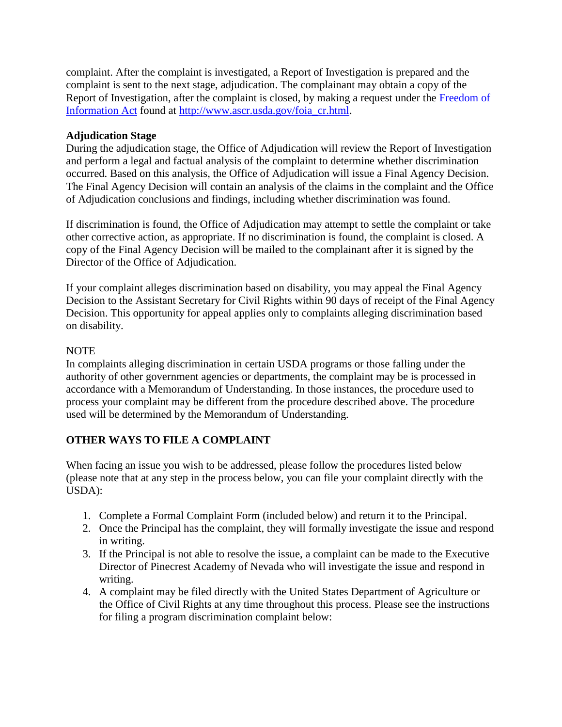complaint. After the complaint is investigated, a Report of Investigation is prepared and the complaint is sent to the next stage, adjudication. The complainant may obtain a copy of the Report of Investigation, after the complaint is closed, by making a request under the [Freedom of](http://www.ascr.usda.gov/foia_cr.html)  [Information Act](http://www.ascr.usda.gov/foia_cr.html) found at [http://www.ascr.usda.gov/foia\\_cr.html.](http://www.ascr.usda.gov/foia_cr.html)

## **Adjudication Stage**

During the adjudication stage, the Office of Adjudication will review the Report of Investigation and perform a legal and factual analysis of the complaint to determine whether discrimination occurred. Based on this analysis, the Office of Adjudication will issue a Final Agency Decision. The Final Agency Decision will contain an analysis of the claims in the complaint and the Office of Adjudication conclusions and findings, including whether discrimination was found.

If discrimination is found, the Office of Adjudication may attempt to settle the complaint or take other corrective action, as appropriate. If no discrimination is found, the complaint is closed. A copy of the Final Agency Decision will be mailed to the complainant after it is signed by the Director of the Office of Adjudication.

If your complaint alleges discrimination based on disability, you may appeal the Final Agency Decision to the Assistant Secretary for Civil Rights within 90 days of receipt of the Final Agency Decision. This opportunity for appeal applies only to complaints alleging discrimination based on disability.

## NOTE

In complaints alleging discrimination in certain USDA programs or those falling under the authority of other government agencies or departments, the complaint may be is processed in accordance with a Memorandum of Understanding. In those instances, the procedure used to process your complaint may be different from the procedure described above. The procedure used will be determined by the Memorandum of Understanding.

# **OTHER WAYS TO FILE A COMPLAINT**

When facing an issue you wish to be addressed, please follow the procedures listed below (please note that at any step in the process below, you can file your complaint directly with the USDA):

- 1. Complete a Formal Complaint Form (included below) and return it to the Principal.
- 2. Once the Principal has the complaint, they will formally investigate the issue and respond in writing.
- 3. If the Principal is not able to resolve the issue, a complaint can be made to the Executive Director of Pinecrest Academy of Nevada who will investigate the issue and respond in writing.
- 4. A complaint may be filed directly with the United States Department of Agriculture or the Office of Civil Rights at any time throughout this process. Please see the instructions for filing a program discrimination complaint below: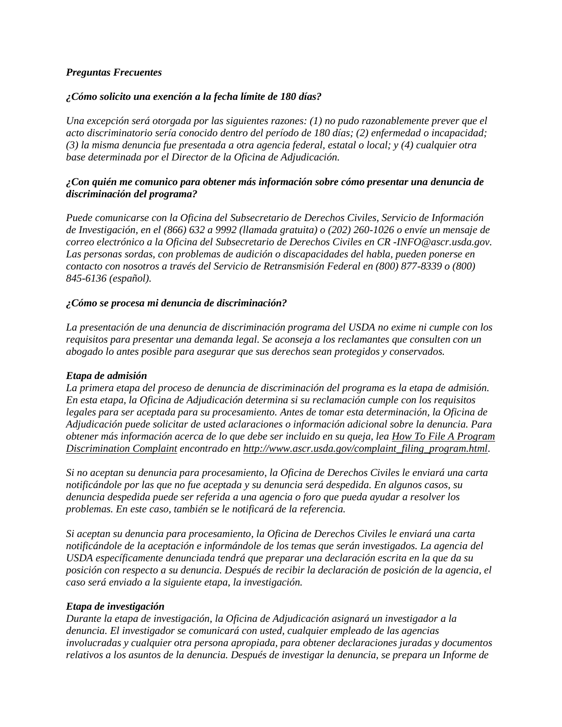#### *Preguntas Frecuentes*

#### *¿Cómo solicito una exención a la fecha límite de 180 días?*

*Una excepción será otorgada por las siguientes razones: (1) no pudo razonablemente prever que el acto discriminatorio sería conocido dentro del período de 180 días; (2) enfermedad o incapacidad; (3) la misma denuncia fue presentada a otra agencia federal, estatal o local; y (4) cualquier otra base determinada por el Director de la Oficina de Adjudicación.*

#### *¿Con quién me comunico para obtener más información sobre cómo presentar una denuncia de discriminación del programa?*

*Puede comunicarse con la Oficina del Subsecretario de Derechos Civiles, Servicio de Información de Investigación, en el (866) 632 a 9992 (llamada gratuita) o (202) 260-1026 o envíe un mensaje de correo electrónico a la Oficina del Subsecretario de Derechos Civiles en CR -INFO@ascr.usda.gov. Las personas sordas, con problemas de audición o discapacidades del habla, pueden ponerse en contacto con nosotros a través del Servicio de Retransmisión Federal en (800) 877-8339 o (800) 845-6136 (español).*

#### *¿Cómo se procesa mi denuncia de discriminación?*

*La presentación de una denuncia de discriminación programa del USDA no exime ni cumple con los requisitos para presentar una demanda legal. Se aconseja a los reclamantes que consulten con un abogado lo antes posible para asegurar que sus derechos sean protegidos y conservados.*

#### *Etapa de admisión*

*La primera etapa del proceso de denuncia de discriminación del programa es la etapa de admisión. En esta etapa, la Oficina de Adjudicación determina si su reclamación cumple con los requisitos legales para ser aceptada para su procesamiento. Antes de tomar esta determinación, la Oficina de Adjudicación puede solicitar de usted aclaraciones o información adicional sobre la denuncia. Para obtener más información acerca de lo que debe ser incluido en su queja, lea [How To File A Program](http://www.ascr.usda.gov/complaint_filing_program.html)  [Discrimination Complaint](http://www.ascr.usda.gov/complaint_filing_program.html) encontrado en [http://www.ascr.usda.gov/complaint\\_filing\\_program.html.](http://www.ascr.usda.gov/complaint_filing_program.html)*

*Si no aceptan su denuncia para procesamiento, la Oficina de Derechos Civiles le enviará una carta notificándole por las que no fue aceptada y su denuncia será despedida. En algunos casos, su denuncia despedida puede ser referida a una agencia o foro que pueda ayudar a resolver los problemas. En este caso, también se le notificará de la referencia.*

*Si aceptan su denuncia para procesamiento, la Oficina de Derechos Civiles le enviará una carta notificándole de la aceptación e informándole de los temas que serán investigados. La agencia del USDA específicamente denunciada tendrá que preparar una declaración escrita en la que da su posición con respecto a su denuncia. Después de recibir la declaración de posición de la agencia, el caso será enviado a la siguiente etapa, la investigación.*

#### *Etapa de investigación*

*Durante la etapa de investigación, la Oficina de Adjudicación asignará un investigador a la denuncia. El investigador se comunicará con usted, cualquier empleado de las agencias involucradas y cualquier otra persona apropiada, para obtener declaraciones juradas y documentos relativos a los asuntos de la denuncia. Después de investigar la denuncia, se prepara un Informe de*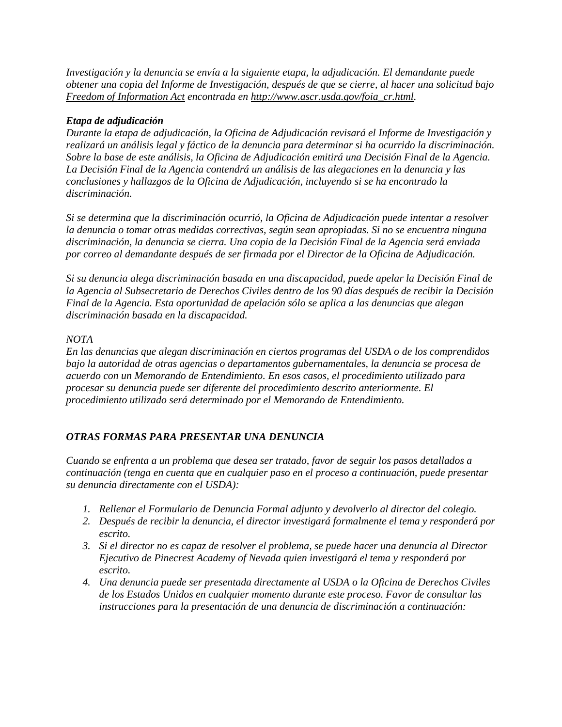*Investigación y la denuncia se envía a la siguiente etapa, la adjudicación. El demandante puede obtener una copia del Informe de Investigación, después de que se cierre, al hacer una solicitud bajo [Freedom of Information Act](http://www.ascr.usda.gov/foia_cr.html) encontrada en [http://www.ascr.usda.gov/foia\\_cr.html.](http://www.ascr.usda.gov/foia_cr.html)*

#### *Etapa de adjudicación*

*Durante la etapa de adjudicación, la Oficina de Adjudicación revisará el Informe de Investigación y realizará un análisis legal y fáctico de la denuncia para determinar si ha ocurrido la discriminación. Sobre la base de este análisis, la Oficina de Adjudicación emitirá una Decisión Final de la Agencia. La Decisión Final de la Agencia contendrá un análisis de las alegaciones en la denuncia y las conclusiones y hallazgos de la Oficina de Adjudicación, incluyendo si se ha encontrado la discriminación.*

*Si se determina que la discriminación ocurrió, la Oficina de Adjudicación puede intentar a resolver la denuncia o tomar otras medidas correctivas, según sean apropiadas. Si no se encuentra ninguna discriminación, la denuncia se cierra. Una copia de la Decisión Final de la Agencia será enviada por correo al demandante después de ser firmada por el Director de la Oficina de Adjudicación.*

*Si su denuncia alega discriminación basada en una discapacidad, puede apelar la Decisión Final de la Agencia al Subsecretario de Derechos Civiles dentro de los 90 días después de recibir la Decisión Final de la Agencia. Esta oportunidad de apelación sólo se aplica a las denuncias que alegan discriminación basada en la discapacidad.*

#### *NOTA*

*En las denuncias que alegan discriminación en ciertos programas del USDA o de los comprendidos bajo la autoridad de otras agencias o departamentos gubernamentales, la denuncia se procesa de acuerdo con un Memorando de Entendimiento. En esos casos, el procedimiento utilizado para procesar su denuncia puede ser diferente del procedimiento descrito anteriormente. El procedimiento utilizado será determinado por el Memorando de Entendimiento.*

#### *OTRAS FORMAS PARA PRESENTAR UNA DENUNCIA*

*Cuando se enfrenta a un problema que desea ser tratado, favor de seguir los pasos detallados a continuación (tenga en cuenta que en cualquier paso en el proceso a continuación, puede presentar su denuncia directamente con el USDA):*

- *1. Rellenar el Formulario de Denuncia Formal adjunto y devolverlo al director del colegio.*
- *2. Después de recibir la denuncia, el director investigará formalmente el tema y responderá por escrito.*
- *3. Si el director no es capaz de resolver el problema, se puede hacer una denuncia al Director Ejecutivo de Pinecrest Academy of Nevada quien investigará el tema y responderá por escrito.*
- *4. Una denuncia puede ser presentada directamente al USDA o la Oficina de Derechos Civiles de los Estados Unidos en cualquier momento durante este proceso. Favor de consultar las instrucciones para la presentación de una denuncia de discriminación a continuación:*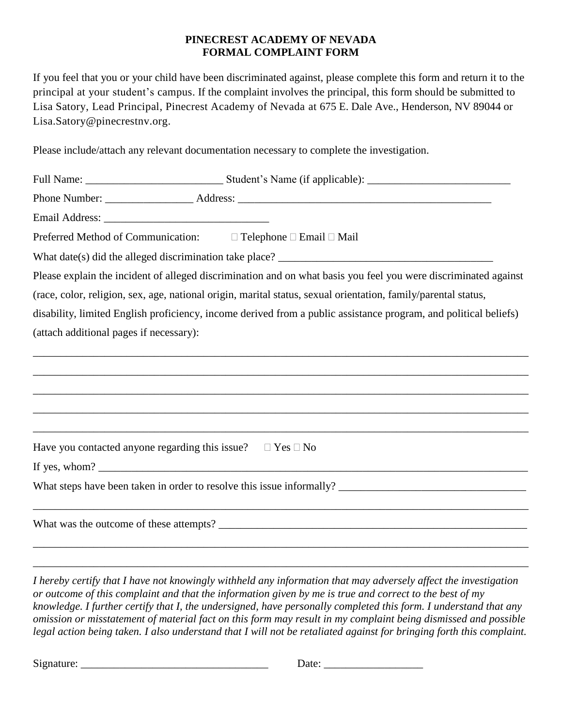## **PINECREST ACADEMY OF NEVADA FORMAL COMPLAINT FORM**

If you feel that you or your child have been discriminated against, please complete this form and return it to the principal at your student's campus. If the complaint involves the principal, this form should be submitted to Lisa Satory, Lead Principal, Pinecrest Academy of Nevada at 675 E. Dale Ave., Henderson, NV 89044 or Lisa.Satory@pinecrestnv.org.

Please include/attach any relevant documentation necessary to complete the investigation.

| Preferred Method of Communication: $\Box$ Telephone $\Box$ Email $\Box$ Mail                                                                                                                                                      |  |  |  |  |
|-----------------------------------------------------------------------------------------------------------------------------------------------------------------------------------------------------------------------------------|--|--|--|--|
|                                                                                                                                                                                                                                   |  |  |  |  |
| Please explain the incident of alleged discrimination and on what basis you feel you were discriminated against                                                                                                                   |  |  |  |  |
| (race, color, religion, sex, age, national origin, marital status, sexual orientation, family/parental status,                                                                                                                    |  |  |  |  |
| disability, limited English proficiency, income derived from a public assistance program, and political beliefs)                                                                                                                  |  |  |  |  |
| (attach additional pages if necessary):                                                                                                                                                                                           |  |  |  |  |
|                                                                                                                                                                                                                                   |  |  |  |  |
|                                                                                                                                                                                                                                   |  |  |  |  |
| ,我们也不能在这里的时候,我们也不能在这里的时候,我们也不能会在这里,我们也不能会不能会不能会不能会不能会不能会不能会。""我们的是我们的,我们也不能会不能会不                                                                                                                                                  |  |  |  |  |
|                                                                                                                                                                                                                                   |  |  |  |  |
|                                                                                                                                                                                                                                   |  |  |  |  |
| Have you contacted anyone regarding this issue? $\Box$ Yes $\Box$ No                                                                                                                                                              |  |  |  |  |
| If yes, whom? $\frac{1}{2}$ is the set of the set of the set of the set of the set of the set of the set of the set of the set of the set of the set of the set of the set of the set of the set of the set of the set of the set |  |  |  |  |
|                                                                                                                                                                                                                                   |  |  |  |  |
|                                                                                                                                                                                                                                   |  |  |  |  |
|                                                                                                                                                                                                                                   |  |  |  |  |
|                                                                                                                                                                                                                                   |  |  |  |  |

*I hereby certify that I have not knowingly withheld any information that may adversely affect the investigation or outcome of this complaint and that the information given by me is true and correct to the best of my knowledge. I further certify that I, the undersigned, have personally completed this form. I understand that any omission or misstatement of material fact on this form may result in my complaint being dismissed and possible legal action being taken. I also understand that I will not be retaliated against for bringing forth this complaint.*

\_\_\_\_\_\_\_\_\_\_\_\_\_\_\_\_\_\_\_\_\_\_\_\_\_\_\_\_\_\_\_\_\_\_\_\_\_\_\_\_\_\_\_\_\_\_\_\_\_\_\_\_\_\_\_\_\_\_\_\_\_\_\_\_\_\_\_\_\_\_\_\_\_\_\_\_\_\_\_\_\_\_\_\_\_\_\_\_\_\_

Signature: \_\_\_\_\_\_\_\_\_\_\_\_\_\_\_\_\_\_\_\_\_\_\_\_\_\_\_\_\_\_\_\_\_\_ Date: \_\_\_\_\_\_\_\_\_\_\_\_\_\_\_\_\_\_